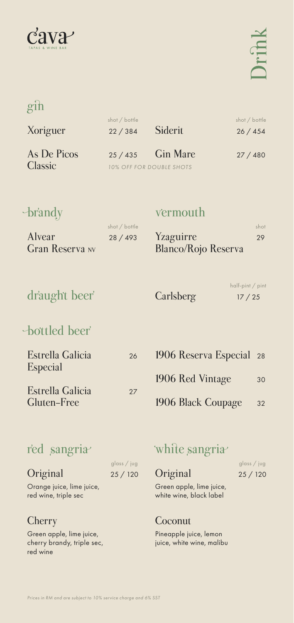

## gin

| Xoriguer       | shot / bottle<br>22 / 384       | Siderit | shot / bottle<br>26/454 |
|----------------|---------------------------------|---------|-------------------------|
| As De Picos    | $25/435$ Gin Mare               |         | 27/480                  |
| <b>Classic</b> | <b>10% OFF FOR DOUBLE SHOTS</b> |         |                         |

## brandy

Alvear

#### �ermouth

| shot / bottle |                     | shot |
|---------------|---------------------|------|
| 28 / 493      | Yzaguirre           | 29   |
|               | Blanco/Rojo Reserva |      |

# dr'aught beer' Carlsberg

Gran Reserva NV

#### half-pint / pint 17 / 25

# bottled beer<sup>'</sup>

| <b>Estrella Galicia</b><br><b>Especial</b> | 26 | 190 <sub>0</sub> |
|--------------------------------------------|----|------------------|
|                                            |    | <b>190</b>       |
| Estrella Galicia<br>Gluten-Free            | 27 | 190 <sub>0</sub> |

6 Reserva Especial **6 Red Vintage** 6 Black Coupage 28 30 32

## r'ed sangria<sup></sup>

|                           | glass / jug |
|---------------------------|-------------|
| Original                  | 25/120      |
| Orange juice, lime juice, |             |
| red wine, triple sec      |             |

#### **Cherry**

Green apple, lime juice, cherry brandy, triple sec, red wine

## white sangria

glass / jug 25 / 120

Green apple, lime juice, white wine, black label

#### Coconut

**Original** 

Pineapple juice, lemon juice, white wine, malibu